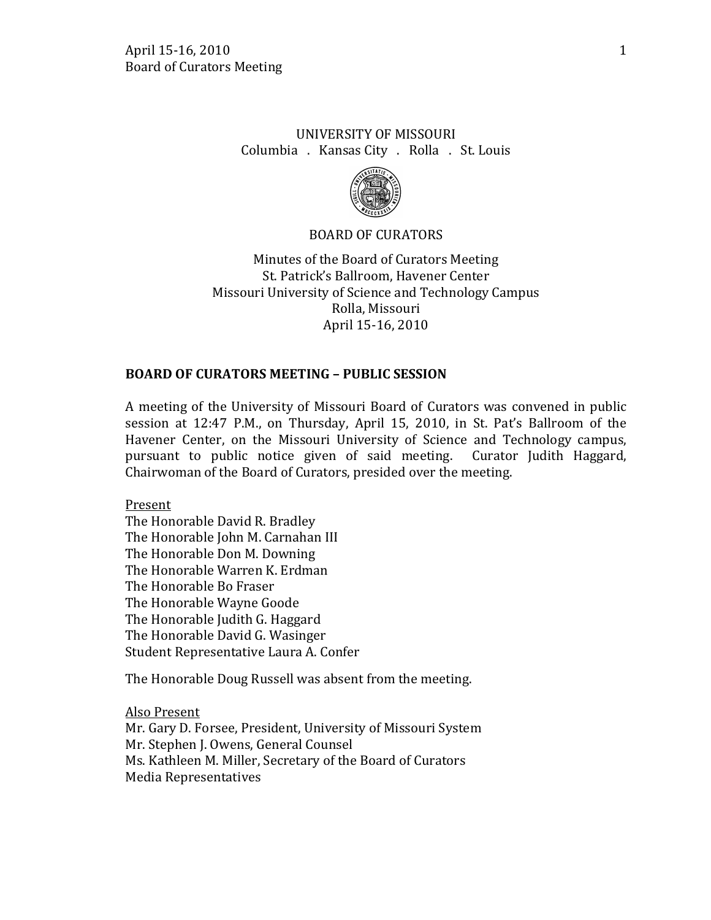# UNIVERSITY OF MISSOURI Columbia . Kansas City . Rolla . St. Louis



#### BOARD OF CURATORS

Minutes of the Board of Curators Meeting St. Patrick's Ballroom, Havener Center Missouri University of Science and Technology Campus Rolla, Missouri April 15-16, 2010

#### **BOARD OF CURATORS MEETING – PUBLIC SESSION**

A meeting of the University of Missouri Board of Curators was convened in public session at 12:47 P.M., on Thursday, April 15, 2010, in St. Pat's Ballroom of the Havener Center, on the Missouri University of Science and Technology campus, pursuant to public notice given of said meeting. Curator Judith Haggard, pursuant to public notice given of said meeting. Chairwoman of the Board of Curators, presided over the meeting.

Present

The Honorable David R. Bradley The Honorable John M. Carnahan III The Honorable Don M. Downing The Honorable Warren K. Erdman The Honorable Bo Fraser The Honorable Wayne Goode The Honorable Judith G. Haggard The Honorable David G. Wasinger Student Representative Laura A. Confer

The Honorable Doug Russell was absent from the meeting.

Mr. Gary D. Forsee, President, University of Missouri System Also Present Mr. Stephen J. Owens, General Counsel Ms. Kathleen M. Miller, Secretary of the Board of Curators Media Representatives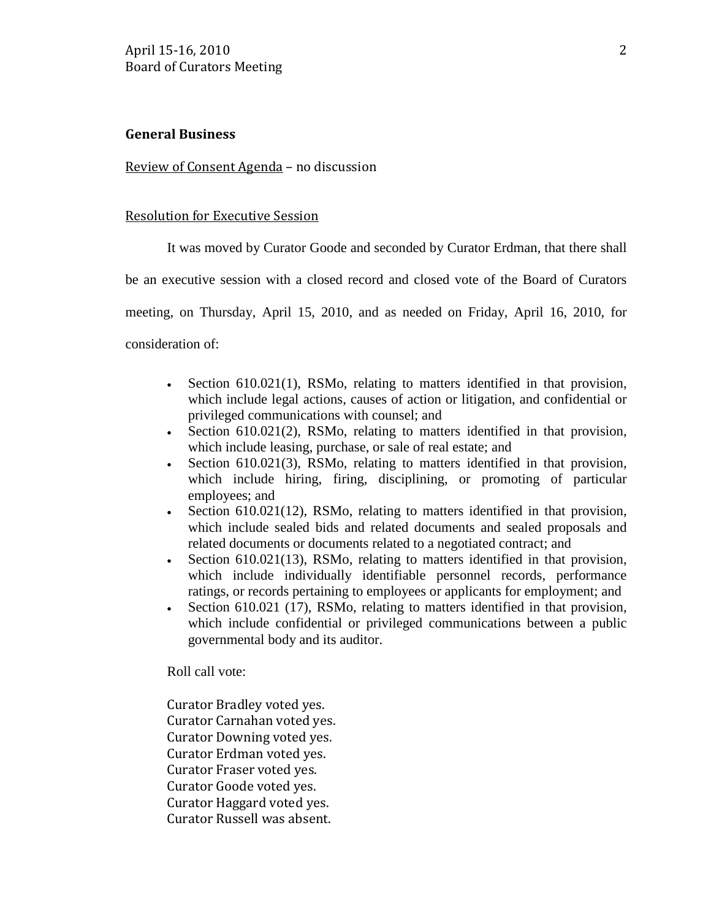### **General Business**

Review of Consent Agenda – no discussion

#### Resolution for Executive Session

It was moved by Curator Goode and seconded by Curator Erdman, that there shall

be an executive session with a closed record and closed vote of the Board of Curators

meeting, on Thursday, April 15, 2010, and as needed on Friday, April 16, 2010, for

consideration of:

- Section 610.021(1), RSMo, relating to matters identified in that provision, which include legal actions, causes of action or litigation, and confidential or privileged communications with counsel; and
- Section 610.021(2), RSMo, relating to matters identified in that provision, which include leasing, purchase, or sale of real estate; and
- Section 610.021(3), RSMo, relating to matters identified in that provision, which include hiring, firing, disciplining, or promoting of particular employees; and
- Section 610.021(12), RSMo, relating to matters identified in that provision, which include sealed bids and related documents and sealed proposals and related documents or documents related to a negotiated contract; and
- Section 610.021(13), RSMo, relating to matters identified in that provision, which include individually identifiable personnel records, performance ratings, or records pertaining to employees or applicants for employment; and
- Section 610.021 (17), RSMo, relating to matters identified in that provision, which include confidential or privileged communications between a public governmental body and its auditor.

Roll call vote:

Curator Bradley voted yes. Curator Carnahan voted yes. Curator Downing voted yes. Curator Erdman voted yes. Curator Fraser voted yes. Curator Goode voted yes. Curator Haggard voted yes. Curator Russell was absent.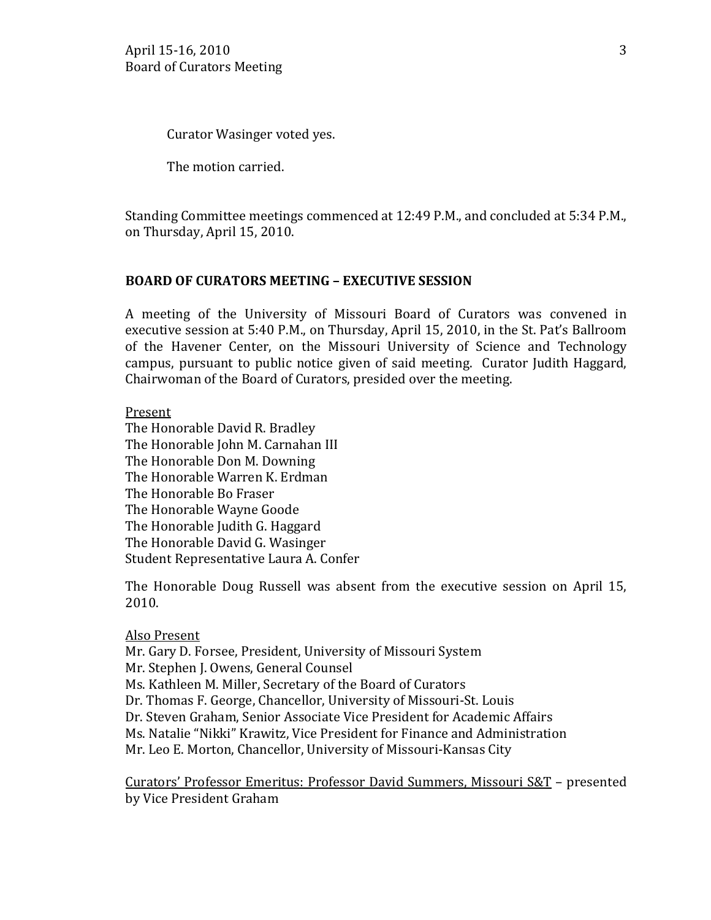Curator Wasinger voted yes.

The motion carried.

Standing Committee meetings commenced at 12:49 P.M., and concluded at 5:34 P.M., on Thursday, April 15, 2010.

## **BOARD OF CURATORS MEETING – EXECUTIVE SESSION**

A meeting of the University of Missouri Board of Curators was convened in executive session at 5:40 P.M., on Thursday, April 15, 2010, in the St. Pat's Ballroom of the Havener Center, on the Missouri University of Science and Technology campus, pursuant to public notice given of said meeting. Curator Judith Haggard, Chairwoman of the Board of Curators, presided over the meeting.

Present

The Honorable David R. Bradley The Honorable John M. Carnahan III The Honorable Don M. Downing The Honorable Warren K. Erdman The Honorable Bo Fraser The Honorable Wayne Goode The Honorable Judith G. Haggard The Honorable David G. Wasinger Student Representative Laura A. Confer

The Honorable Doug Russell was absent from the executive session on April 15, 2010.

### Also Present

Mr. Gary D. Forsee, President, University of Missouri System Mr. Stephen J. Owens, General Counsel Ms. Kathleen M. Miller, Secretary of the Board of Curators Dr. Thomas F. George, Chancellor, University of Missouri-St. Louis Dr. Steven Graham, Senior Associate Vice President for Academic Affairs Ms. Natalie "Nikki" Krawitz, Vice President for Finance and Administration Mr. Leo E. Morton, Chancellor, University of Missouri-Kansas City

Curators' Professor Emeritus: Professor David Summers, Missouri S&T – presented by Vice President Graham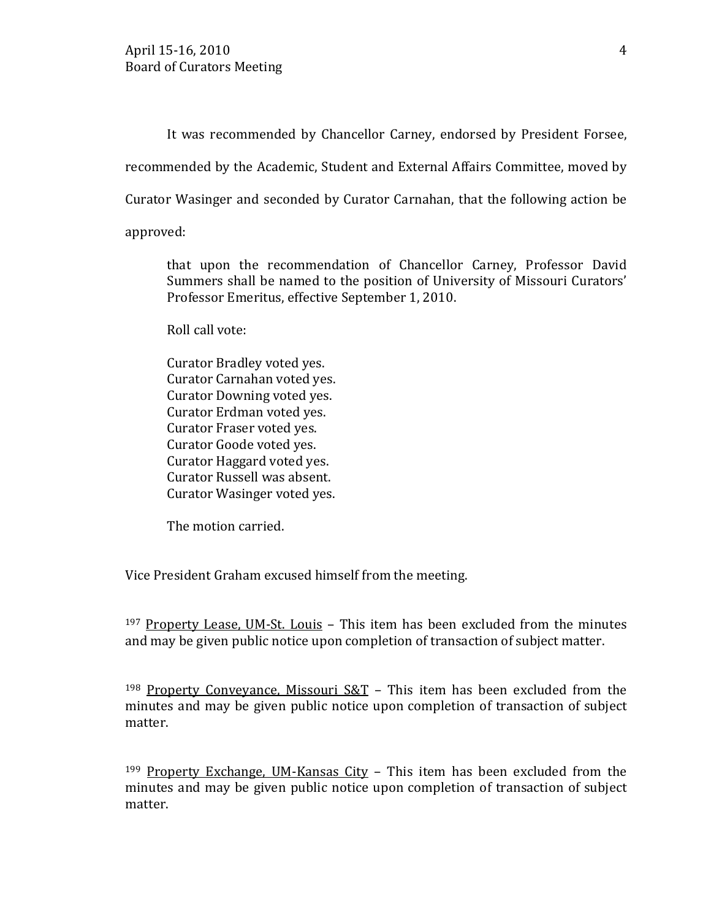It was recommended by Chancellor Carney, endorsed by President Forsee,

recommended by the Academic, Student and External Affairs Committee, moved by

Curator Wasinger and seconded by Curator Carnahan, that the following action be

approved:

that upon the recommendation of Chancellor Carney, Professor David Summers shall be named to the position of University of Missouri Curators' Professor Emeritus, effective September 1, 2010.

Roll call vote:

Curator Bradley voted yes. Curator Carnahan voted yes. Curator Downing voted yes. Curator Erdman voted yes. Curator Fraser voted yes. Curator Goode voted yes. Curator Haggard voted yes. Curator Russell was absent. Curator Wasinger voted yes.

The motion carried.

Vice President Graham excused himself from the meeting.

<sup>197</sup> Property Lease, UM-St. Louis – This item has been excluded from the minutes and may be given public notice upon completion of transaction of subject matter.

<sup>198</sup> Property Conveyance, Missouri  $S&T$  – This item has been excluded from the minutes and may be given public notice upon completion of transaction of subject matter.

<sup>199</sup> Property Exchange, UM-Kansas City – This item has been excluded from the minutes and may be given public notice upon completion of transaction of subject matter.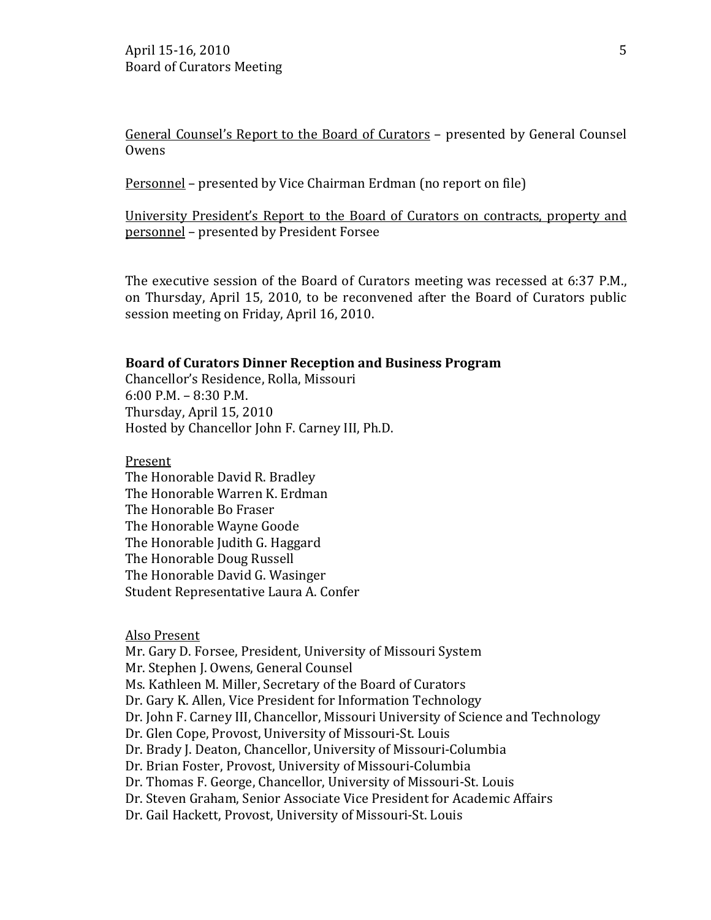General Counsel's Report to the Board of Curators - presented by General Counsel Owens

Personnel – presented by Vice Chairman Erdman (no report on file)

University President's Report to the Board of Curators on contracts, property and personnel – presented by President Forsee

The executive session of the Board of Curators meeting was recessed at 6:37 P.M., on Thursday, April 15, 2010, to be reconvened after the Board of Curators public session meeting on Friday, April 16, 2010.

#### **Board of Curators Dinner Reception and Business Program**

Chancellor's Residence, Rolla, Missouri 6:00 P.M. – 8:30 P.M. Thursday, April 15, 2010 Hosted by Chancellor John F. Carney III, Ph.D.

Present

The Honorable David R. Bradley The Honorable Warren K. Erdman The Honorable Bo Fraser The Honorable Wayne Goode The Honorable Judith G. Haggard The Honorable Doug Russell The Honorable David G. Wasinger Student Representative Laura A. Confer

Also Present

Mr. Gary D. Forsee, President, University of Missouri System Mr. Stephen J. Owens, General Counsel Ms. Kathleen M. Miller, Secretary of the Board of Curators Dr. Gary K. Allen, Vice President for Information Technology Dr. John F. Carney III, Chancellor, Missouri University of Science and Technology Dr. Glen Cope, Provost, University of Missouri-St. Louis Dr. Brady J. Deaton, Chancellor, University of Missouri-Columbia Dr. Brian Foster, Provost, University of Missouri-Columbia Dr. Thomas F. George, Chancellor, University of Missouri-St. Louis Dr. Steven Graham, Senior Associate Vice President for Academic Affairs Dr. Gail Hackett, Provost, University of Missouri-St. Louis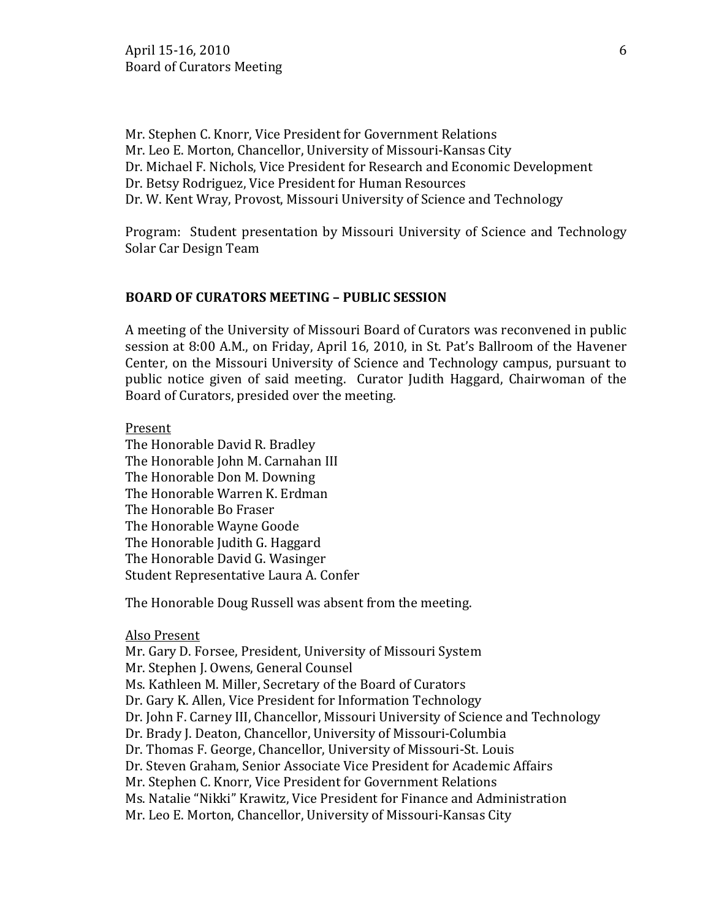Mr. Stephen C. Knorr, Vice President for Government Relations Mr. Leo E. Morton, Chancellor, University of Missouri-Kansas City Dr. Michael F. Nichols, Vice President for Research and Economic Development Dr. Betsy Rodriguez, Vice President for Human Resources Dr. W. Kent Wray, Provost, Missouri University of Science and Technology

Program: Student presentation by Missouri University of Science and Technology Solar Car Design Team

#### **BOARD OF CURATORS MEETING – PUBLIC SESSION**

A meeting of the University of Missouri Board of Curators was reconvened in public session at 8:00 A.M., on Friday, April 16, 2010, in St. Pat's Ballroom of the Havener Center, on the Missouri University of Science and Technology campus, pursuant to public notice given of said meeting. Curator Judith Haggard, Chairwoman of the Board of Curators, presided over the meeting.

Present

The Honorable David R. Bradley The Honorable John M. Carnahan III The Honorable Don M. Downing The Honorable Warren K. Erdman The Honorable Bo Fraser The Honorable Wayne Goode The Honorable Judith G. Haggard The Honorable David G. Wasinger Student Representative Laura A. Confer

The Honorable Doug Russell was absent from the meeting.

#### Also Present

Mr. Gary D. Forsee, President, University of Missouri System Mr. Stephen J. Owens, General Counsel Ms. Kathleen M. Miller, Secretary of the Board of Curators Dr. Gary K. Allen, Vice President for Information Technology Dr. John F. Carney III, Chancellor, Missouri University of Science and Technology Dr. Brady J. Deaton, Chancellor, University of Missouri-Columbia Dr. Thomas F. George, Chancellor, University of Missouri-St. Louis Dr. Steven Graham, Senior Associate Vice President for Academic Affairs Mr. Stephen C. Knorr, Vice President for Government Relations Ms. Natalie "Nikki" Krawitz, Vice President for Finance and Administration Mr. Leo E. Morton, Chancellor, University of Missouri-Kansas City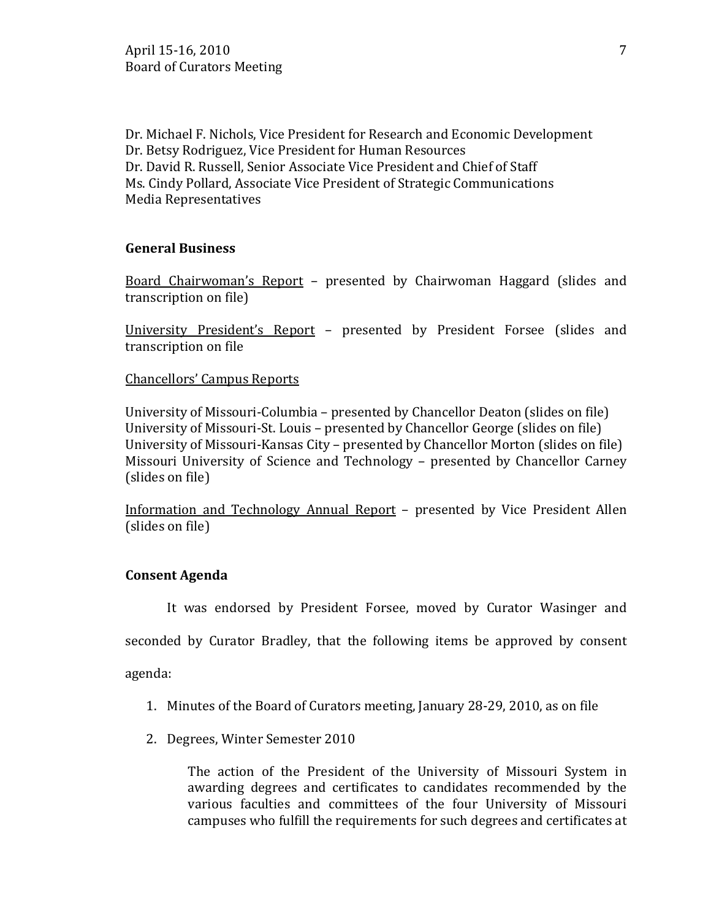Dr. Michael F. Nichols, Vice President for Research and Economic Development Dr. Betsy Rodriguez, Vice President for Human Resources Dr. David R. Russell, Senior Associate Vice President and Chief of Staff Ms. Cindy Pollard, Associate Vice President of Strategic Communications Media Representatives

### **General Business**

Board Chairwoman's Report – presented by Chairwoman Haggard (slides and transcription on file)

University President's Report – presented by President Forsee (slides and transcription on file

Chancellors' Campus Reports

University of Missouri-Columbia – presented by Chancellor Deaton (slides on file) University of Missouri-St. Louis – presented by Chancellor George (slides on file) University of Missouri-Kansas City – presented by Chancellor Morton (slides on file) Missouri University of Science and Technology – presented by Chancellor Carney (slides on file)

Information and Technology Annual Report – presented by Vice President Allen (slides on file)

### **Consent Agenda**

It was endorsed by President Forsee, moved by Curator Wasinger and

seconded by Curator Bradley, that the following items be approved by consent

agenda:

- 1. Minutes of the Board of Curators meeting, January 28-29, 2010, as on file
- 2. Degrees, Winter Semester 2010

The action of the President of the University of Missouri System in awarding degrees and certificates to candidates recommended by the various faculties and committees of the four University of Missouri campuses who fulfill the requirements for such degrees and certificates at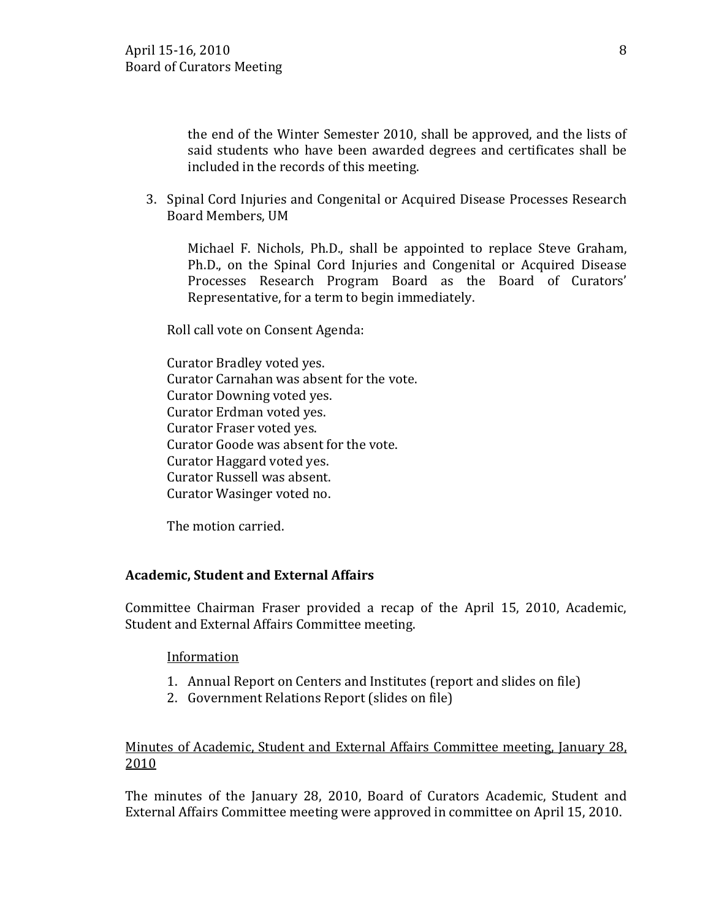the end of the Winter Semester 2010, shall be approved, and the lists of said students who have been awarded degrees and certificates shall be included in the records of this meeting.

3. Spinal Cord Injuries and Congenital or Acquired Disease Processes Research Board Members, UM

Michael F. Nichols, Ph.D., shall be appointed to replace Steve Graham, Ph.D., on the Spinal Cord Injuries and Congenital or Acquired Disease Processes Research Program Board as the Board of Curators' Representative, for a term to begin immediately.

Roll call vote on Consent Agenda:

Curator Bradley voted yes. Curator Carnahan was absent for the vote. Curator Downing voted yes. Curator Erdman voted yes. Curator Fraser voted yes. Curator Goode was absent for the vote. Curator Haggard voted yes. Curator Russell was absent. Curator Wasinger voted no.

The motion carried.

### **Academic, Student and External Affairs**

Committee Chairman Fraser provided a recap of the April 15, 2010, Academic, Student and External Affairs Committee meeting.

### Information

- 1. Annual Report on Centers and Institutes (report and slides on file)
- 2. Government Relations Report (slides on file)

## Minutes of Academic, Student and External Affairs Committee meeting, January 28, 2010

The minutes of the January 28, 2010, Board of Curators Academic, Student and External Affairs Committee meeting were approved in committee on April 15, 2010.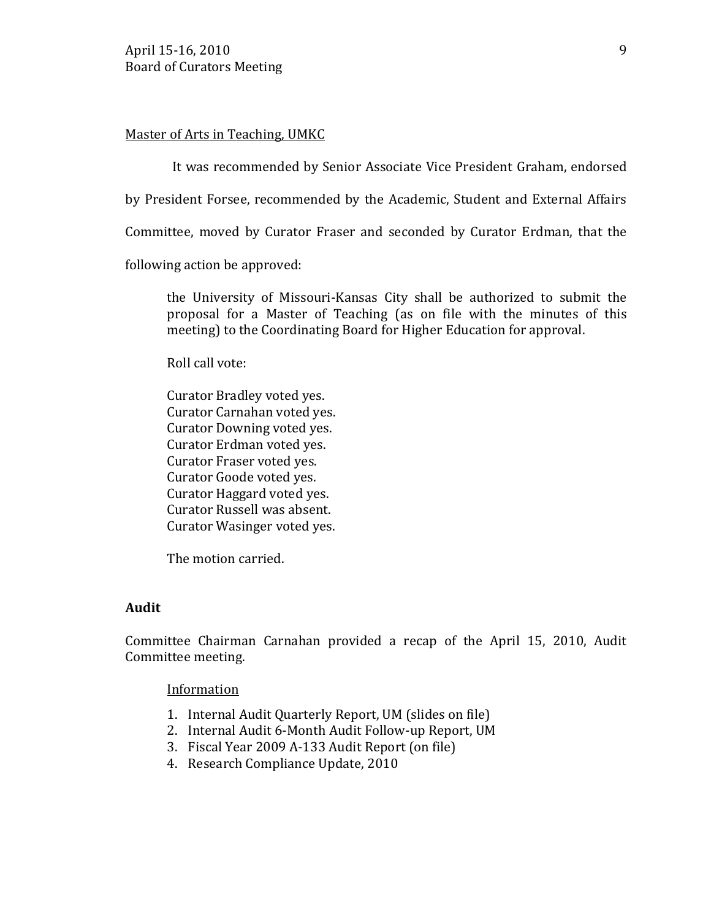### Master of Arts in Teaching, UMKC

It was recommended by Senior Associate Vice President Graham, endorsed

by President Forsee, recommended by the Academic, Student and External Affairs

Committee, moved by Curator Fraser and seconded by Curator Erdman, that the

following action be approved:

the University of Missouri-Kansas City shall be authorized to submit the proposal for a Master of Teaching (as on file with the minutes of this meeting) to the Coordinating Board for Higher Education for approval.

Roll call vote:

Curator Bradley voted yes. Curator Carnahan voted yes. Curator Downing voted yes. Curator Erdman voted yes. Curator Fraser voted yes. Curator Goode voted yes. Curator Haggard voted yes. Curator Russell was absent. Curator Wasinger voted yes.

The motion carried.

#### **Audit**

Committee Chairman Carnahan provided a recap of the April 15, 2010, Audit Committee meeting.

Information

- 1. Internal Audit Quarterly Report, UM (slides on file)
- 2. Internal Audit 6-Month Audit Follow-up Report, UM
- 3. Fiscal Year 2009 A-133 Audit Report (on file)
- 4. Research Compliance Update, 2010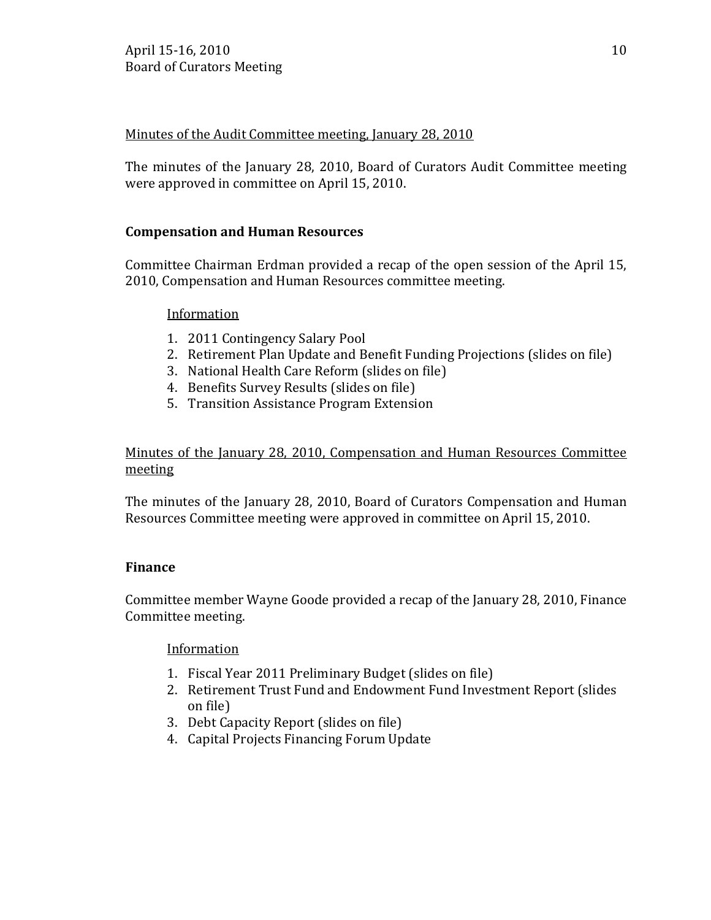# Minutes of the Audit Committee meeting, January 28, 2010

The minutes of the January 28, 2010, Board of Curators Audit Committee meeting were approved in committee on April 15, 2010.

# **Compensation and Human Resources**

Committee Chairman Erdman provided a recap of the open session of the April 15, 2010, Compensation and Human Resources committee meeting.

# Information

- 1. 2011 Contingency Salary Pool
- 2. Retirement Plan Update and Benefit Funding Projections (slides on file)
- 3. National Health Care Reform (slides on file)
- 4. Benefits Survey Results (slides on file)
- 5. Transition Assistance Program Extension

Minutes of the January 28, 2010, Compensation and Human Resources Committee meeting

The minutes of the January 28, 2010, Board of Curators Compensation and Human Resources Committee meeting were approved in committee on April 15, 2010.

# **Finance**

Committee member Wayne Goode provided a recap of the January 28, 2010, Finance Committee meeting.

# Information

- 1. Fiscal Year 2011 Preliminary Budget (slides on file)
- 2. Retirement Trust Fund and Endowment Fund Investment Report (slides on file)
- 3. Debt Capacity Report (slides on file)
- 4. Capital Projects Financing Forum Update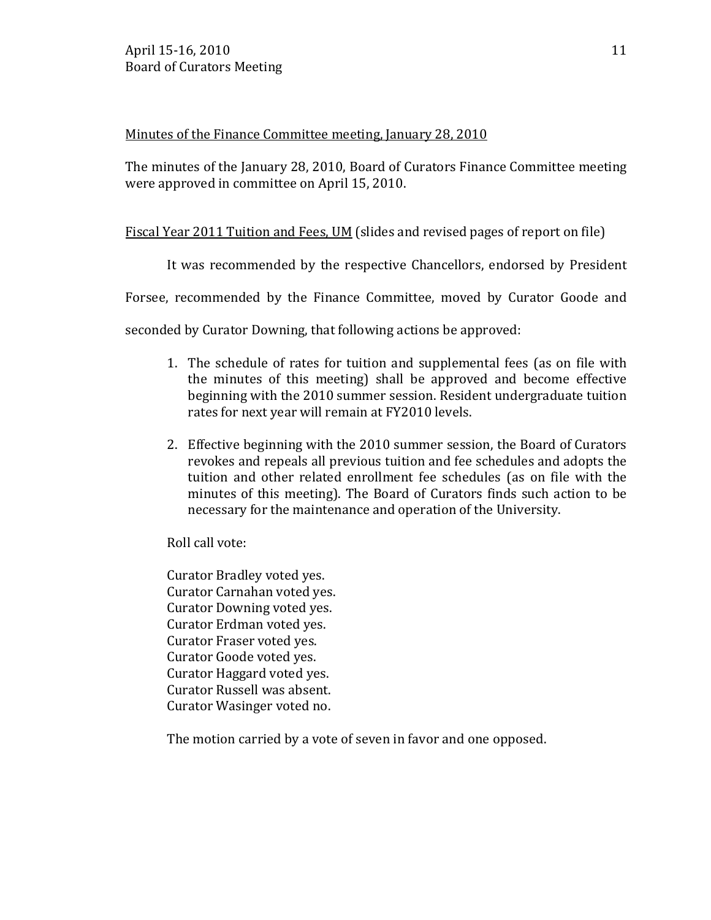## Minutes of the Finance Committee meeting, January 28, 2010

The minutes of the January 28, 2010, Board of Curators Finance Committee meeting were approved in committee on April 15, 2010.

# Fiscal Year 2011 Tuition and Fees, UM (slides and revised pages of report on file)

It was recommended by the respective Chancellors, endorsed by President

Forsee, recommended by the Finance Committee, moved by Curator Goode and

seconded by Curator Downing, that following actions be approved:

- 1. The schedule of rates for tuition and supplemental fees (as on file with the minutes of this meeting) shall be approved and become effective beginning with the 2010 summer session. Resident undergraduate tuition rates for next year will remain at FY2010 levels.
- 2. Effective beginning with the 2010 summer session, the Board of Curators revokes and repeals all previous tuition and fee schedules and adopts the tuition and other related enrollment fee schedules (as on file with the minutes of this meeting). The Board of Curators finds such action to be necessary for the maintenance and operation of the University.

Roll call vote:

Curator Bradley voted yes. Curator Carnahan voted yes. Curator Downing voted yes. Curator Erdman voted yes. Curator Fraser voted yes. Curator Goode voted yes. Curator Haggard voted yes. Curator Russell was absent. Curator Wasinger voted no.

The motion carried by a vote of seven in favor and one opposed.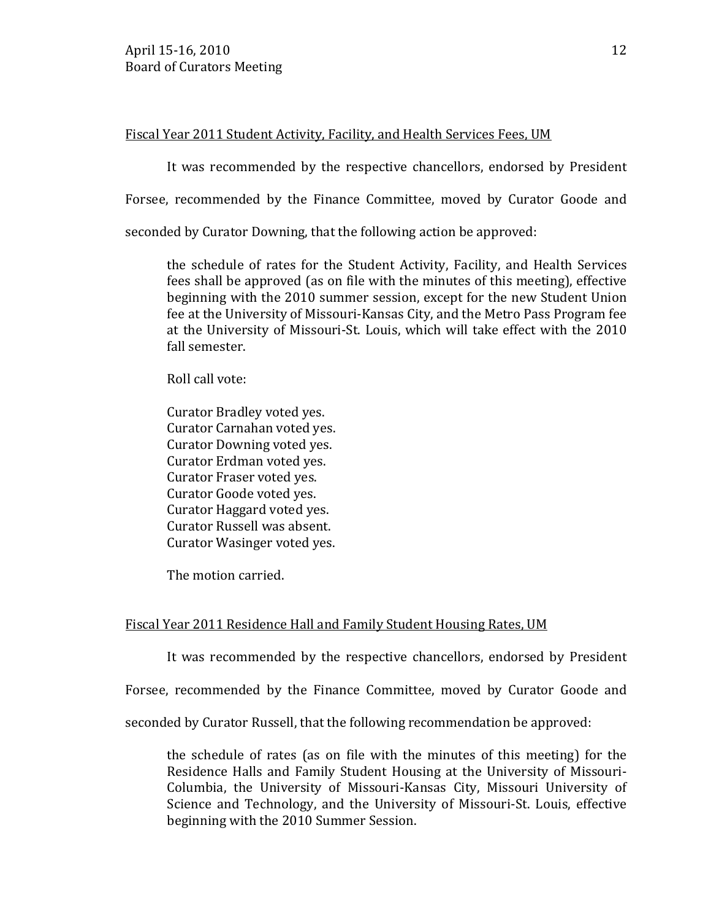### Fiscal Year 2011 Student Activity, Facility, and Health Services Fees, UM

It was recommended by the respective chancellors, endorsed by President

Forsee, recommended by the Finance Committee, moved by Curator Goode and

seconded by Curator Downing, that the following action be approved:

the schedule of rates for the Student Activity, Facility, and Health Services fees shall be approved (as on file with the minutes of this meeting), effective beginning with the 2010 summer session, except for the new Student Union fee at the University of Missouri-Kansas City, and the Metro Pass Program fee at the University of Missouri-St. Louis, which will take effect with the 2010 fall semester.

Roll call vote:

Curator Bradley voted yes. Curator Carnahan voted yes. Curator Downing voted yes. Curator Erdman voted yes. Curator Fraser voted yes. Curator Goode voted yes. Curator Haggard voted yes. Curator Russell was absent. Curator Wasinger voted yes.

The motion carried.

# Fiscal Year 2011 Residence Hall and Family Student Housing Rates, UM

It was recommended by the respective chancellors, endorsed by President

Forsee, recommended by the Finance Committee, moved by Curator Goode and

seconded by Curator Russell, that the following recommendation be approved:

the schedule of rates (as on file with the minutes of this meeting) for the Residence Halls and Family Student Housing at the University of Missouri-Columbia, the University of Missouri-Kansas City, Missouri University of Science and Technology, and the University of Missouri-St. Louis, effective beginning with the 2010 Summer Session.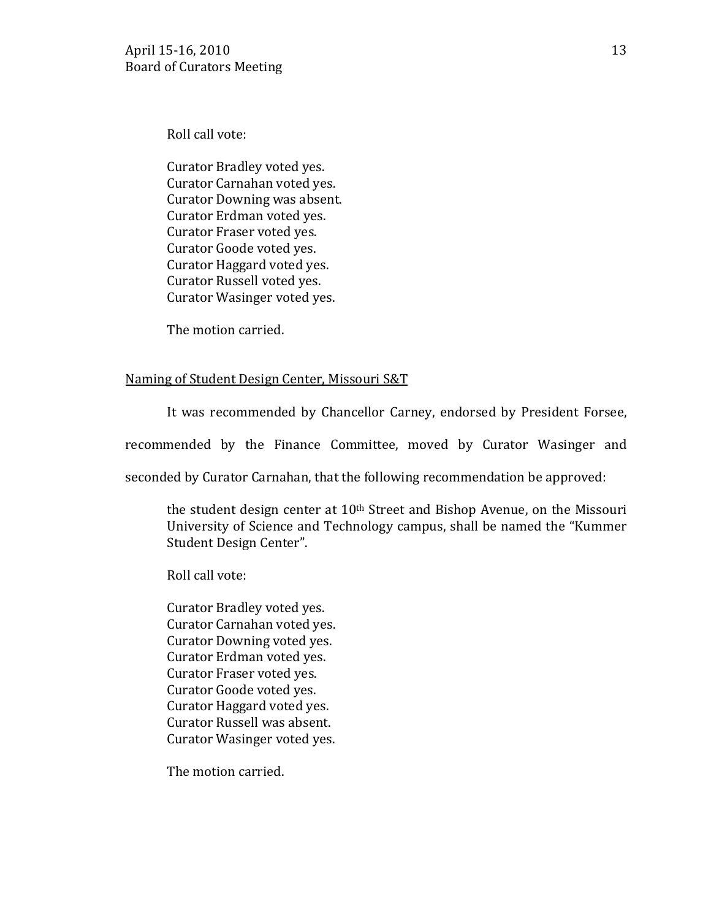Roll call vote:

Curator Bradley voted yes. Curator Carnahan voted yes. Curator Downing was absent. Curator Erdman voted yes. Curator Fraser voted yes. Curator Goode voted yes. Curator Haggard voted yes. Curator Russell voted yes. Curator Wasinger voted yes.

The motion carried.

## Naming of Student Design Center, Missouri S&T

It was recommended by Chancellor Carney, endorsed by President Forsee,

recommended by the Finance Committee, moved by Curator Wasinger and

seconded by Curator Carnahan, that the following recommendation be approved:

the student design center at 10th Street and Bishop Avenue, on the Missouri University of Science and Technology campus, shall be named the "Kummer Student Design Center".

Roll call vote:

Curator Bradley voted yes. Curator Carnahan voted yes. Curator Downing voted yes. Curator Erdman voted yes. Curator Fraser voted yes. Curator Goode voted yes. Curator Haggard voted yes. Curator Russell was absent. Curator Wasinger voted yes.

The motion carried.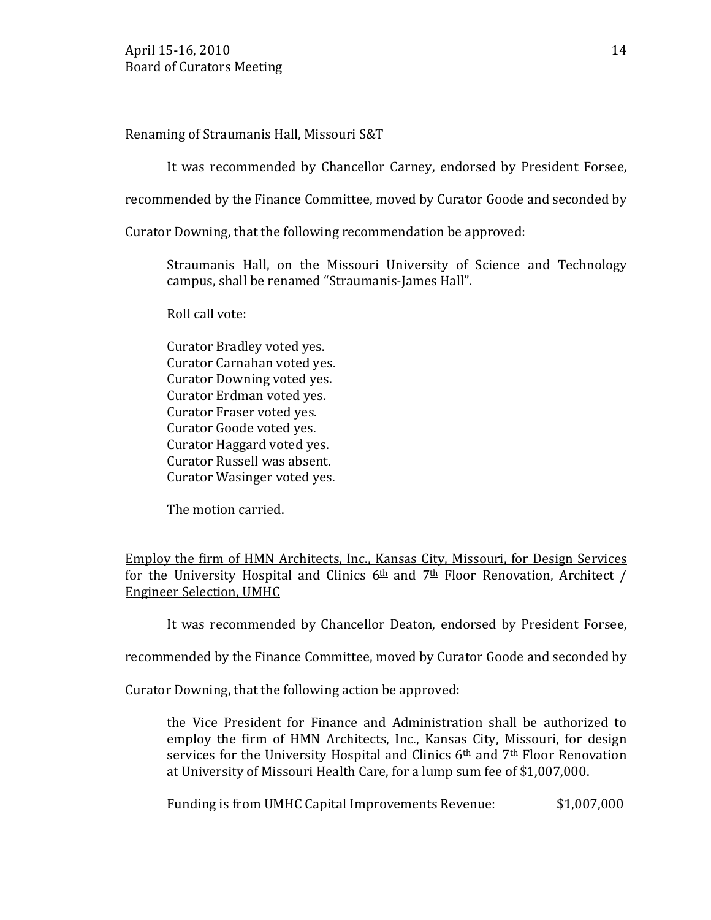## Renaming of Straumanis Hall, Missouri S&T

It was recommended by Chancellor Carney, endorsed by President Forsee,

recommended by the Finance Committee, moved by Curator Goode and seconded by

Curator Downing, that the following recommendation be approved:

Straumanis Hall, on the Missouri University of Science and Technology campus, shall be renamed "Straumanis-James Hall".

Roll call vote:

Curator Bradley voted yes. Curator Carnahan voted yes. Curator Downing voted yes. Curator Erdman voted yes. Curator Fraser voted yes. Curator Goode voted yes. Curator Haggard voted yes. Curator Russell was absent. Curator Wasinger voted yes.

The motion carried.

Employ the firm of HMN Architects, Inc., Kansas City, Missouri, for Design Services for the University Hospital and Clinics  $6th$  and  $7th$  Floor Renovation, Architect / Engineer Selection, UMHC

It was recommended by Chancellor Deaton, endorsed by President Forsee,

recommended by the Finance Committee, moved by Curator Goode and seconded by

Curator Downing, that the following action be approved:

the Vice President for Finance and Administration shall be authorized to employ the firm of HMN Architects, Inc., Kansas City, Missouri, for design services for the University Hospital and Clinics 6th and 7th Floor Renovation at University of Missouri Health Care, for a lump sum fee of \$1,007,000.

Funding is from UMHC Capital Improvements Revenue: \$1,007,000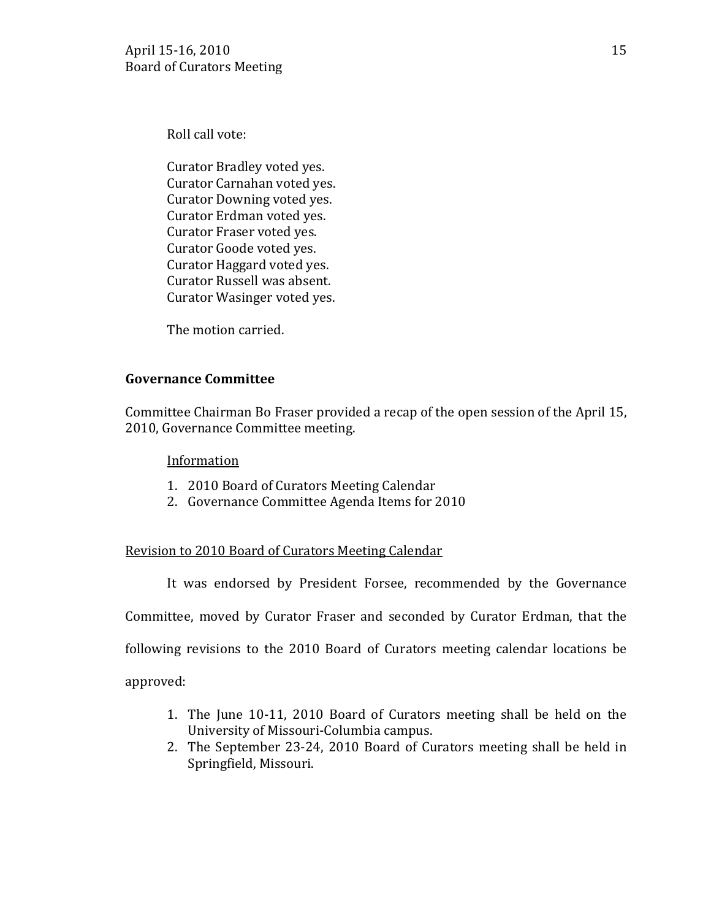Roll call vote:

Curator Bradley voted yes. Curator Carnahan voted yes. Curator Downing voted yes. Curator Erdman voted yes. Curator Fraser voted yes. Curator Goode voted yes. Curator Haggard voted yes. Curator Russell was absent. Curator Wasinger voted yes.

The motion carried.

## **Governance Committee**

Committee Chairman Bo Fraser provided a recap of the open session of the April 15, 2010, Governance Committee meeting.

### Information

- 1. 2010 Board of Curators Meeting Calendar
- 2. Governance Committee Agenda Items for 2010

# Revision to 2010 Board of Curators Meeting Calendar

It was endorsed by President Forsee, recommended by the Governance

Committee, moved by Curator Fraser and seconded by Curator Erdman, that the

following revisions to the 2010 Board of Curators meeting calendar locations be

approved:

- 1. The June 10-11, 2010 Board of Curators meeting shall be held on the University of Missouri-Columbia campus.
- 2. The September 23-24, 2010 Board of Curators meeting shall be held in Springfield, Missouri.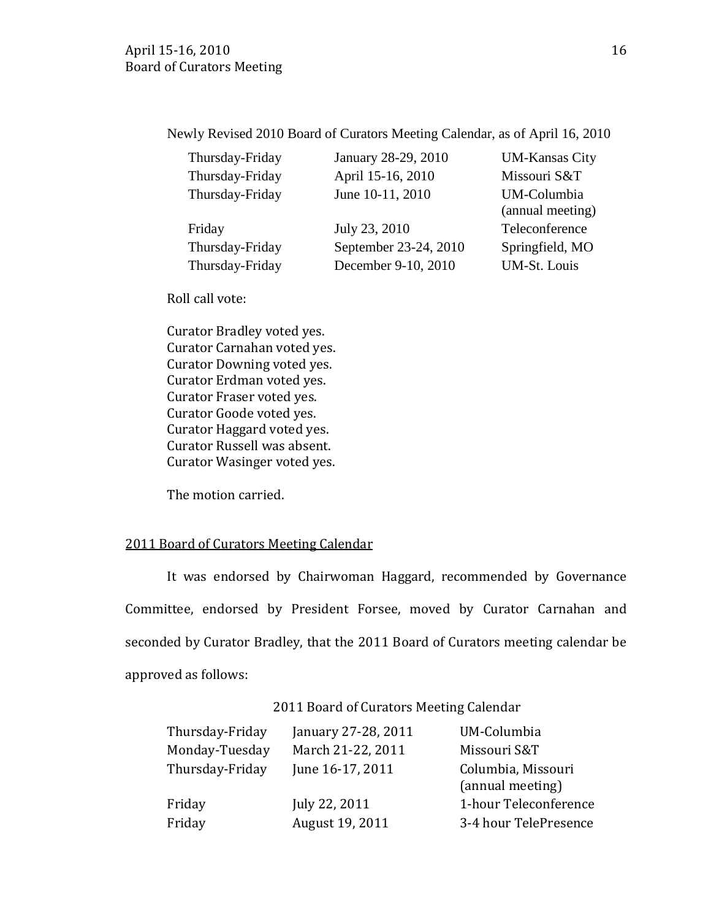Newly Revised 2010 Board of Curators Meeting Calendar, as of April 16, 2010

| Thursday-Friday | January 28-2    |
|-----------------|-----------------|
| Thursday-Friday | April 15-16,    |
| Thursday-Friday | June $10-11, 2$ |

| Friday          | July 23, 2010         | Teleconference  |
|-----------------|-----------------------|-----------------|
| Thursday-Friday | September 23-24, 2010 | Springfield, MO |
| Thursday-Friday | December 9-10, 2010   | UM-St. Louis    |

29, 2010 UM-Kansas City 2010 Missouri S&T 2010 UM-Columbia (annual meeting)

Roll call vote:

Curator Bradley voted yes. Curator Carnahan voted yes. Curator Downing voted yes. Curator Erdman voted yes. Curator Fraser voted yes. Curator Goode voted yes. Curator Haggard voted yes. Curator Russell was absent. Curator Wasinger voted yes.

The motion carried.

### 2011 Board of Curators Meeting Calendar

It was endorsed by Chairwoman Haggard, recommended by Governance Committee, endorsed by President Forsee, moved by Curator Carnahan and seconded by Curator Bradley, that the 2011 Board of Curators meeting calendar be approved as follows:

2011 Board of Curators Meeting Calendar

| Thursday-Friday | January 27-28, 2011 | UM-Columbia                            |
|-----------------|---------------------|----------------------------------------|
| Monday-Tuesday  | March 21-22, 2011   | Missouri S&T                           |
| Thursday-Friday | June 16-17, 2011    | Columbia, Missouri<br>(annual meeting) |
| Friday          | July 22, 2011       | 1-hour Teleconference                  |
| Friday          | August 19, 2011     | 3-4 hour TelePresence                  |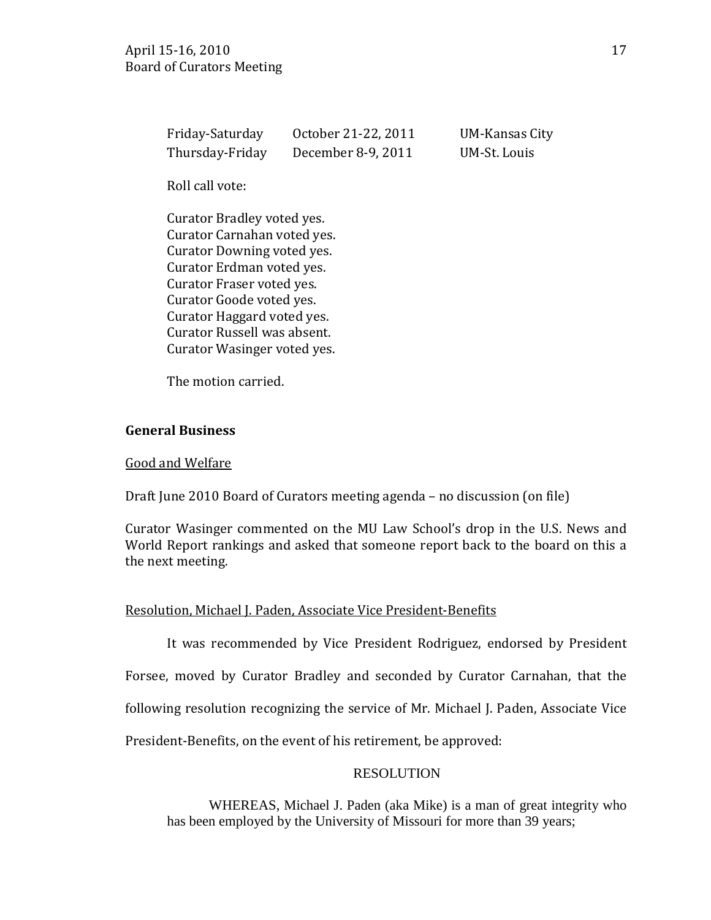| Friday-Saturday | October 21-22, 2011 | <b>UM-Kansas City</b> |
|-----------------|---------------------|-----------------------|
| Thursday-Friday | December 8-9, 2011  | UM-St. Louis          |

Roll call vote:

Curator Bradley voted yes. Curator Carnahan voted yes. Curator Downing voted yes. Curator Erdman voted yes. Curator Fraser voted yes. Curator Goode voted yes. Curator Haggard voted yes. Curator Russell was absent. Curator Wasinger voted yes.

The motion carried.

### **General Business**

#### Good and Welfare

Draft June 2010 Board of Curators meeting agenda – no discussion (on file)

Curator Wasinger commented on the MU Law School's drop in the U.S. News and World Report rankings and asked that someone report back to the board on this a the next meeting.

### Resolution, Michael J. Paden, Associate Vice President-Benefits

It was recommended by Vice President Rodriguez, endorsed by President Forsee, moved by Curator Bradley and seconded by Curator Carnahan, that the following resolution recognizing the service of Mr. Michael J. Paden, Associate Vice President-Benefits, on the event of his retirement, be approved:

### RESOLUTION

WHEREAS, Michael J. Paden (aka Mike) is a man of great integrity who has been employed by the University of Missouri for more than 39 years;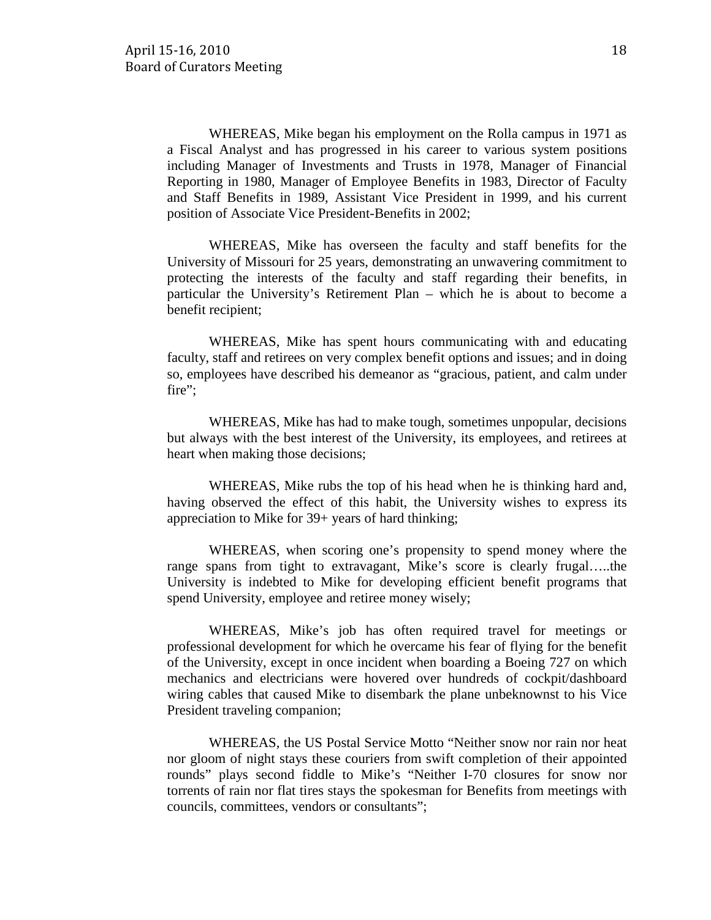WHEREAS, Mike began his employment on the Rolla campus in 1971 as a Fiscal Analyst and has progressed in his career to various system positions including Manager of Investments and Trusts in 1978, Manager of Financial Reporting in 1980, Manager of Employee Benefits in 1983, Director of Faculty and Staff Benefits in 1989, Assistant Vice President in 1999, and his current position of Associate Vice President-Benefits in 2002;

WHEREAS, Mike has overseen the faculty and staff benefits for the University of Missouri for 25 years, demonstrating an unwavering commitment to protecting the interests of the faculty and staff regarding their benefits, in particular the University's Retirement Plan – which he is about to become a benefit recipient;

WHEREAS, Mike has spent hours communicating with and educating faculty, staff and retirees on very complex benefit options and issues; and in doing so, employees have described his demeanor as "gracious, patient, and calm under fire";

WHEREAS, Mike has had to make tough, sometimes unpopular, decisions but always with the best interest of the University, its employees, and retirees at heart when making those decisions;

WHEREAS, Mike rubs the top of his head when he is thinking hard and, having observed the effect of this habit, the University wishes to express its appreciation to Mike for 39+ years of hard thinking;

WHEREAS, when scoring one's propensity to spend money where the range spans from tight to extravagant, Mike's score is clearly frugal…..the University is indebted to Mike for developing efficient benefit programs that spend University, employee and retiree money wisely;

WHEREAS, Mike's job has often required travel for meetings or professional development for which he overcame his fear of flying for the benefit of the University, except in once incident when boarding a Boeing 727 on which mechanics and electricians were hovered over hundreds of cockpit/dashboard wiring cables that caused Mike to disembark the plane unbeknownst to his Vice President traveling companion;

WHEREAS, the US Postal Service Motto "Neither snow nor rain nor heat nor gloom of night stays these couriers from swift completion of their appointed rounds" plays second fiddle to Mike's "Neither I-70 closures for snow nor torrents of rain nor flat tires stays the spokesman for Benefits from meetings with councils, committees, vendors or consultants";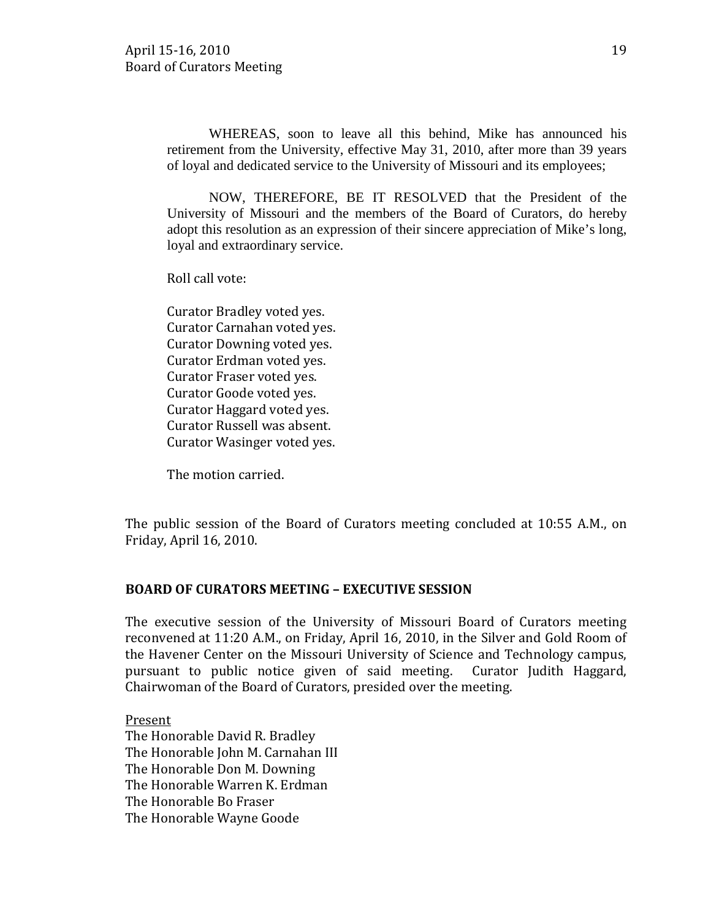WHEREAS, soon to leave all this behind, Mike has announced his retirement from the University, effective May 31, 2010, after more than 39 years of loyal and dedicated service to the University of Missouri and its employees;

NOW, THEREFORE, BE IT RESOLVED that the President of the University of Missouri and the members of the Board of Curators, do hereby adopt this resolution as an expression of their sincere appreciation of Mike's long, loyal and extraordinary service.

Roll call vote:

Curator Bradley voted yes. Curator Carnahan voted yes. Curator Downing voted yes. Curator Erdman voted yes. Curator Fraser voted yes. Curator Goode voted yes. Curator Haggard voted yes. Curator Russell was absent. Curator Wasinger voted yes.

The motion carried.

The public session of the Board of Curators meeting concluded at 10:55 A.M., on Friday, April 16, 2010.

### **BOARD OF CURATORS MEETING – EXECUTIVE SESSION**

The executive session of the University of Missouri Board of Curators meeting reconvened at 11:20 A.M., on Friday, April 16, 2010, in the Silver and Gold Room of the Havener Center on the Missouri University of Science and Technology campus, pursuant to public notice given of said meeting. Curator Judith Haggard, Chairwoman of the Board of Curators, presided over the meeting.

The Honorable David R. Bradley Present The Honorable John M. Carnahan III The Honorable Don M. Downing The Honorable Warren K. Erdman The Honorable Bo Fraser The Honorable Wayne Goode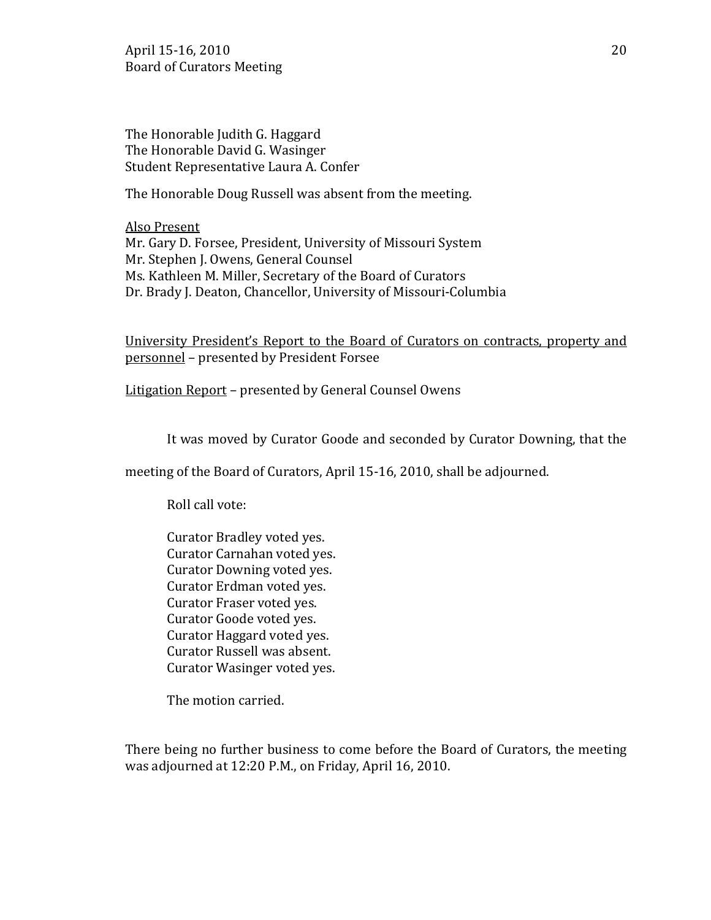April 15-16, 2010 20 Board of Curators Meeting

The Honorable Judith G. Haggard The Honorable David G. Wasinger Student Representative Laura A. Confer

The Honorable Doug Russell was absent from the meeting.

Mr. Gary D. Forsee, President, University of Missouri System Also Present Mr. Stephen J. Owens, General Counsel Ms. Kathleen M. Miller, Secretary of the Board of Curators Dr. Brady J. Deaton, Chancellor, University of Missouri-Columbia

University President's Report to the Board of Curators on contracts, property and personnel – presented by President Forsee

Litigation Report – presented by General Counsel Owens

It was moved by Curator Goode and seconded by Curator Downing, that the

meeting of the Board of Curators, April 15-16, 2010, shall be adjourned.

Roll call vote:

Curator Bradley voted yes. Curator Carnahan voted yes. Curator Downing voted yes. Curator Erdman voted yes. Curator Fraser voted yes. Curator Goode voted yes. Curator Haggard voted yes. Curator Russell was absent. Curator Wasinger voted yes.

The motion carried.

There being no further business to come before the Board of Curators, the meeting was adjourned at 12:20 P.M., on Friday, April 16, 2010.